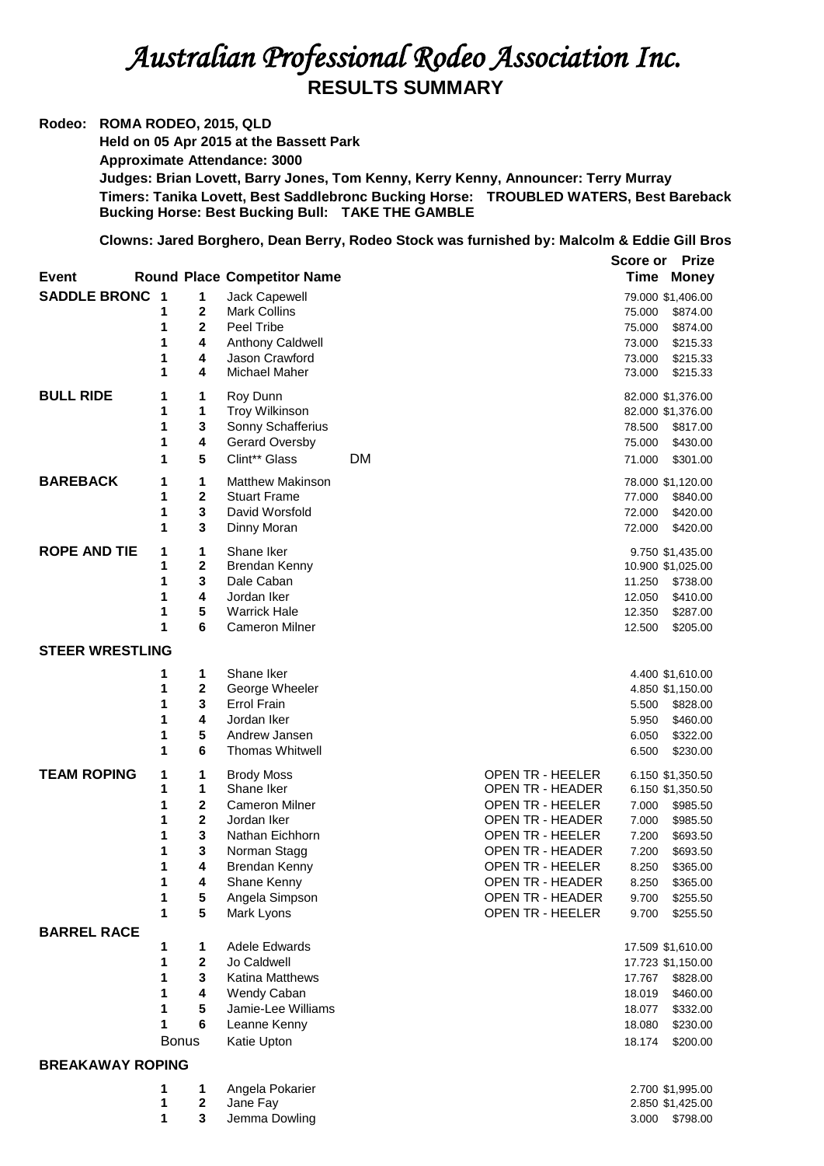## *Australian Professional Rodeo Association Inc.*  **RESULTS SUMMARY**

## **Rodeo: ROMA RODEO, 2015, QLD**

**Held on 05 Apr 2015 at the Bassett Park Approximate Attendance: 3000 Judges: Brian Lovett, Barry Jones, Tom Kenny, Kerry Kenny, Announcer: Terry Murray Timers: Tanika Lovett, Best Saddlebronc Bucking Horse: TROUBLED WATERS, Best Bareback Bucking Horse: Best Bucking Bull: TAKE THE GAMBLE**

**Clowns: Jared Borghero, Dean Berry, Rodeo Stock was furnished by: Malcolm & Eddie Gill Bros** 

|                         |        |                         |                                                |                                                    | Score or         | <b>Prize</b>                          |
|-------------------------|--------|-------------------------|------------------------------------------------|----------------------------------------------------|------------------|---------------------------------------|
| <b>Event</b>            |        |                         | <b>Round Place Competitor Name</b>             |                                                    | Time             | <b>Money</b>                          |
| <b>SADDLE BRONC 1</b>   |        | 1                       | Jack Capewell                                  |                                                    |                  | 79.000 \$1,406.00                     |
|                         | 1      | 2                       | <b>Mark Collins</b>                            |                                                    | 75.000           | \$874.00                              |
|                         | 1      | $\overline{2}$          | Peel Tribe                                     |                                                    | 75.000           | \$874.00                              |
|                         | 1      | 4                       | Anthony Caldwell                               |                                                    | 73.000           | \$215.33                              |
|                         | 1      | 4                       | Jason Crawford                                 |                                                    | 73.000           | \$215.33                              |
|                         | 1      | 4                       | Michael Maher                                  |                                                    | 73.000           | \$215.33                              |
| <b>BULL RIDE</b>        | 1      | 1                       | Roy Dunn                                       |                                                    |                  | 82.000 \$1,376.00                     |
|                         | 1      | 1                       | <b>Troy Wilkinson</b>                          |                                                    |                  | 82.000 \$1,376.00                     |
|                         | 1      | 3                       | Sonny Schafferius                              |                                                    | 78.500           | \$817.00                              |
|                         | 1      | 4                       | Gerard Oversby                                 |                                                    | 75.000           | \$430.00                              |
|                         | 1      | 5                       | Clint** Glass                                  | <b>DM</b>                                          | 71.000           | \$301.00                              |
| <b>BAREBACK</b>         | 1<br>1 | 1<br>$\mathbf 2$        | <b>Matthew Makinson</b><br><b>Stuart Frame</b> |                                                    |                  | 78.000 \$1,120.00                     |
|                         | 1      | 3                       | David Worsfold                                 |                                                    | 77.000<br>72.000 | \$840.00<br>\$420.00                  |
|                         | 1      | 3                       | Dinny Moran                                    |                                                    | 72.000           | \$420.00                              |
|                         |        |                         |                                                |                                                    |                  |                                       |
| <b>ROPE AND TIE</b>     | 1<br>1 | 1<br>$\mathbf 2$        | Shane Iker<br>Brendan Kenny                    |                                                    |                  | 9.750 \$1,435.00<br>10.900 \$1,025.00 |
|                         | 1      | 3                       | Dale Caban                                     |                                                    | 11.250           | \$738.00                              |
|                         | 1      | 4                       | Jordan Iker                                    |                                                    | 12.050           | \$410.00                              |
|                         | 1      | 5                       | <b>Warrick Hale</b>                            |                                                    | 12.350           | \$287.00                              |
|                         | 1      | 6                       | <b>Cameron Milner</b>                          |                                                    | 12.500           | \$205.00                              |
| <b>STEER WRESTLING</b>  |        |                         |                                                |                                                    |                  |                                       |
|                         | 1      | 1                       | Shane Iker                                     |                                                    |                  | 4.400 \$1,610.00                      |
|                         | 1      | $\mathbf 2$             | George Wheeler                                 |                                                    |                  | 4.850 \$1,150.00                      |
|                         | 1      | 3                       | <b>Errol Frain</b>                             |                                                    | 5.500            | \$828.00                              |
|                         | 1      | 4                       | Jordan Iker                                    |                                                    | 5.950            | \$460.00                              |
|                         | 1      | 5                       | Andrew Jansen                                  |                                                    | 6.050            | \$322.00                              |
|                         | 1      | 6                       | <b>Thomas Whitwell</b>                         |                                                    | 6.500            | \$230.00                              |
| <b>TEAM ROPING</b>      | 1      | 1                       | <b>Brody Moss</b>                              | OPEN TR - HEELER                                   |                  | 6.150 \$1,350.50                      |
|                         | 1      | 1                       | Shane Iker                                     | OPEN TR - HEADER                                   |                  | 6.150 \$1,350.50                      |
|                         | 1      | $\mathbf 2$             | <b>Cameron Milner</b>                          | OPEN TR - HEELER                                   | 7.000            | \$985.50                              |
|                         | 1      | $\mathbf 2$             | Jordan Iker                                    | OPEN TR - HEADER                                   | 7.000            | \$985.50                              |
|                         | 1      | 3                       | Nathan Eichhorn                                | OPEN TR - HEELER                                   | 7.200            | \$693.50                              |
|                         | 1<br>1 | 3<br>4                  | Norman Stagg<br>Brendan Kenny                  | <b>OPEN TR - HEADER</b><br><b>OPEN TR - HEELER</b> | 7.200<br>8.250   | \$693.50<br>\$365.00                  |
|                         | 1      | 4                       | Shane Kenny                                    | OPEN TR - HEADER                                   | 8.250            | \$365.00                              |
|                         | 1      | 5                       | Angela Simpson                                 | <b>OPEN TR - HEADER</b>                            | 9.700            | \$255.50                              |
|                         | 1      | 5                       | Mark Lyons                                     | <b>OPEN TR - HEELER</b>                            | 9.700            | \$255.50                              |
| <b>BARREL RACE</b>      |        |                         |                                                |                                                    |                  |                                       |
|                         | 1      | 1                       | Adele Edwards                                  |                                                    |                  | 17.509 \$1,610.00                     |
|                         | 1      | $\overline{\mathbf{2}}$ | Jo Caldwell                                    |                                                    |                  | 17.723 \$1,150.00                     |
|                         | 1      | 3                       | Katina Matthews                                |                                                    | 17.767           | \$828.00                              |
|                         | 1      | 4                       | Wendy Caban                                    |                                                    | 18.019           | \$460.00                              |
|                         | 1      | 5                       | Jamie-Lee Williams                             |                                                    | 18.077           | \$332.00                              |
|                         | 1      | 6                       | Leanne Kenny                                   |                                                    | 18.080           | \$230.00                              |
|                         |        | <b>Bonus</b>            | Katie Upton                                    |                                                    | 18.174           | \$200.00                              |
| <b>BREAKAWAY ROPING</b> |        |                         |                                                |                                                    |                  |                                       |
|                         | 1<br>1 | 1<br>$\mathbf 2$        | Angela Pokarier<br>Jane Fay                    |                                                    |                  | 2.700 \$1,995.00                      |
|                         | 1      | $\mathbf{3}$            | Jemma Dowling                                  |                                                    |                  | 2.850 \$1,425.00<br>3.000 \$798.00    |